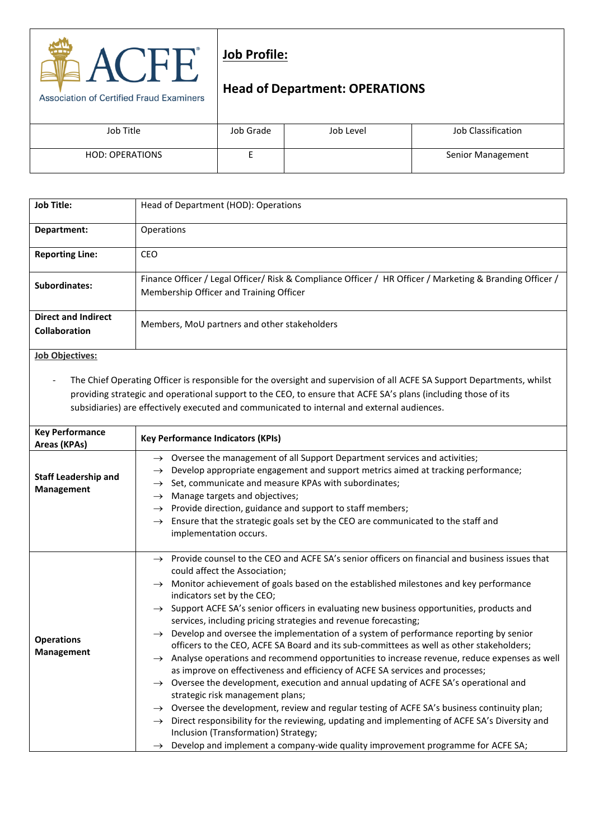

## **Job Profile:**

## **Head of Department: OPERATIONS**

| Job Title              | Job Grade | Job Level | Job Classification       |
|------------------------|-----------|-----------|--------------------------|
|                        |           |           |                          |
|                        |           |           |                          |
| <b>HOD: OPERATIONS</b> |           |           | <b>Senior Management</b> |
|                        |           |           |                          |
|                        |           |           |                          |

| <b>Job Title:</b>                                  | Head of Department (HOD): Operations                                                                                                                |
|----------------------------------------------------|-----------------------------------------------------------------------------------------------------------------------------------------------------|
| Department:                                        | Operations                                                                                                                                          |
| <b>Reporting Line:</b>                             | <b>CEO</b>                                                                                                                                          |
| Subordinates:                                      | Finance Officer / Legal Officer/ Risk & Compliance Officer / HR Officer / Marketing & Branding Officer /<br>Membership Officer and Training Officer |
| <b>Direct and Indirect</b><br><b>Collaboration</b> | Members, MoU partners and other stakeholders                                                                                                        |
| <b>Job Objectives:</b>                             |                                                                                                                                                     |

- The Chief Operating Officer is responsible for the oversight and supervision of all ACFE SA Support Departments, whilst providing strategic and operational support to the CEO, to ensure that ACFE SA's plans (including those of its subsidiaries) are effectively executed and communicated to internal and external audiences.

| <b>Key Performance</b><br>Areas (KPAs)    | <b>Key Performance Indicators (KPIs)</b>                                                                       |  |  |
|-------------------------------------------|----------------------------------------------------------------------------------------------------------------|--|--|
| <b>Staff Leadership and</b><br>Management | $\rightarrow$ Oversee the management of all Support Department services and activities;                        |  |  |
|                                           | Develop appropriate engagement and support metrics aimed at tracking performance;<br>$\rightarrow$             |  |  |
|                                           | Set, communicate and measure KPAs with subordinates;<br>$\rightarrow$                                          |  |  |
|                                           | Manage targets and objectives;<br>$\rightarrow$                                                                |  |  |
|                                           | Provide direction, guidance and support to staff members;<br>$\rightarrow$                                     |  |  |
|                                           | Ensure that the strategic goals set by the CEO are communicated to the staff and<br>$\rightarrow$              |  |  |
|                                           | implementation occurs.                                                                                         |  |  |
|                                           |                                                                                                                |  |  |
| <b>Operations</b><br><b>Management</b>    | $\rightarrow$ Provide counsel to the CEO and ACFE SA's senior officers on financial and business issues that   |  |  |
|                                           | could affect the Association;                                                                                  |  |  |
|                                           | $\rightarrow$ Monitor achievement of goals based on the established milestones and key performance             |  |  |
|                                           | indicators set by the CEO;                                                                                     |  |  |
|                                           | $\rightarrow$ Support ACFE SA's senior officers in evaluating new business opportunities, products and         |  |  |
|                                           | services, including pricing strategies and revenue forecasting;                                                |  |  |
|                                           | Develop and oversee the implementation of a system of performance reporting by senior<br>$\rightarrow$         |  |  |
|                                           | officers to the CEO, ACFE SA Board and its sub-committees as well as other stakeholders;                       |  |  |
|                                           | $\rightarrow$ Analyse operations and recommend opportunities to increase revenue, reduce expenses as well      |  |  |
|                                           | as improve on effectiveness and efficiency of ACFE SA services and processes;                                  |  |  |
|                                           | $\rightarrow$ Oversee the development, execution and annual updating of ACFE SA's operational and              |  |  |
|                                           | strategic risk management plans;                                                                               |  |  |
|                                           | Oversee the development, review and regular testing of ACFE SA's business continuity plan;<br>$\rightarrow$    |  |  |
|                                           | Direct responsibility for the reviewing, updating and implementing of ACFE SA's Diversity and<br>$\rightarrow$ |  |  |
|                                           | Inclusion (Transformation) Strategy;                                                                           |  |  |
|                                           | Develop and implement a company-wide quality improvement programme for ACFE SA;<br>$\rightarrow$               |  |  |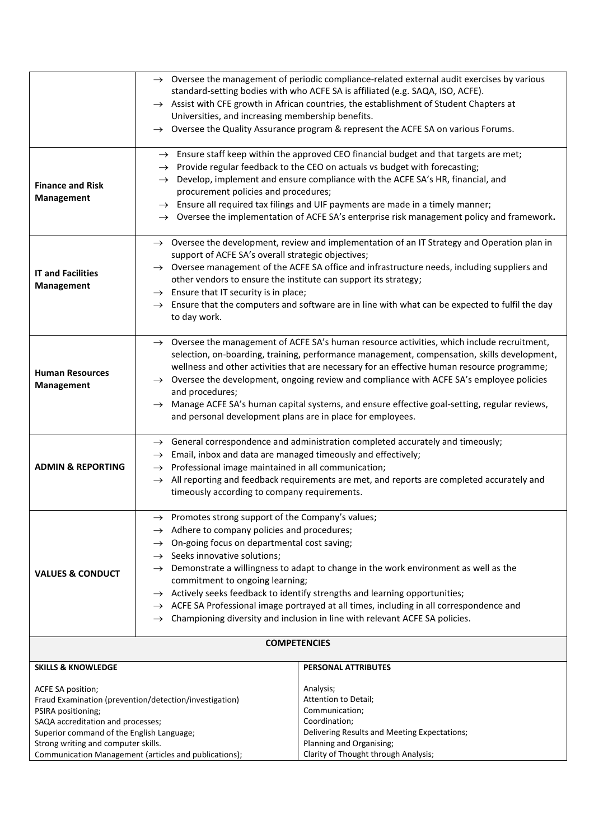|                                                                              | $\rightarrow$ Oversee the management of periodic compliance-related external audit exercises by various<br>standard-setting bodies with who ACFE SA is affiliated (e.g. SAQA, ISO, ACFE).<br>$\rightarrow$ Assist with CFE growth in African countries, the establishment of Student Chapters at<br>Universities, and increasing membership benefits. |                                                                                                           |  |
|------------------------------------------------------------------------------|-------------------------------------------------------------------------------------------------------------------------------------------------------------------------------------------------------------------------------------------------------------------------------------------------------------------------------------------------------|-----------------------------------------------------------------------------------------------------------|--|
|                                                                              |                                                                                                                                                                                                                                                                                                                                                       |                                                                                                           |  |
|                                                                              |                                                                                                                                                                                                                                                                                                                                                       |                                                                                                           |  |
|                                                                              | $\rightarrow$                                                                                                                                                                                                                                                                                                                                         | Oversee the Quality Assurance program & represent the ACFE SA on various Forums.                          |  |
|                                                                              |                                                                                                                                                                                                                                                                                                                                                       |                                                                                                           |  |
|                                                                              |                                                                                                                                                                                                                                                                                                                                                       | $\rightarrow$ Ensure staff keep within the approved CEO financial budget and that targets are met;        |  |
|                                                                              |                                                                                                                                                                                                                                                                                                                                                       | $\rightarrow$ Provide regular feedback to the CEO on actuals vs budget with forecasting;                  |  |
| <b>Finance and Risk</b>                                                      | $\rightarrow$                                                                                                                                                                                                                                                                                                                                         | Develop, implement and ensure compliance with the ACFE SA's HR, financial, and                            |  |
| <b>Management</b>                                                            | procurement policies and procedures;                                                                                                                                                                                                                                                                                                                  |                                                                                                           |  |
|                                                                              | $\rightarrow$ Ensure all required tax filings and UIF payments are made in a timely manner;                                                                                                                                                                                                                                                           |                                                                                                           |  |
|                                                                              |                                                                                                                                                                                                                                                                                                                                                       | $\rightarrow$ Oversee the implementation of ACFE SA's enterprise risk management policy and framework.    |  |
|                                                                              |                                                                                                                                                                                                                                                                                                                                                       | $\rightarrow$ Oversee the development, review and implementation of an IT Strategy and Operation plan in  |  |
|                                                                              | support of ACFE SA's overall strategic objectives;                                                                                                                                                                                                                                                                                                    |                                                                                                           |  |
|                                                                              | $\rightarrow$ Oversee management of the ACFE SA office and infrastructure needs, including suppliers and                                                                                                                                                                                                                                              |                                                                                                           |  |
| <b>IT and Facilities</b>                                                     | other vendors to ensure the institute can support its strategy;                                                                                                                                                                                                                                                                                       |                                                                                                           |  |
| Management                                                                   | $\rightarrow$ Ensure that IT security is in place;                                                                                                                                                                                                                                                                                                    |                                                                                                           |  |
|                                                                              | $\rightarrow$                                                                                                                                                                                                                                                                                                                                         | Ensure that the computers and software are in line with what can be expected to fulfil the day            |  |
|                                                                              | to day work.                                                                                                                                                                                                                                                                                                                                          |                                                                                                           |  |
|                                                                              |                                                                                                                                                                                                                                                                                                                                                       | $\rightarrow$ Oversee the management of ACFE SA's human resource activities, which include recruitment,   |  |
|                                                                              |                                                                                                                                                                                                                                                                                                                                                       | selection, on-boarding, training, performance management, compensation, skills development,               |  |
|                                                                              |                                                                                                                                                                                                                                                                                                                                                       | wellness and other activities that are necessary for an effective human resource programme;               |  |
| <b>Human Resources</b>                                                       |                                                                                                                                                                                                                                                                                                                                                       | $\rightarrow$ Oversee the development, ongoing review and compliance with ACFE SA's employee policies     |  |
| <b>Management</b>                                                            | and procedures;                                                                                                                                                                                                                                                                                                                                       |                                                                                                           |  |
|                                                                              |                                                                                                                                                                                                                                                                                                                                                       | $\rightarrow$ Manage ACFE SA's human capital systems, and ensure effective goal-setting, regular reviews, |  |
|                                                                              |                                                                                                                                                                                                                                                                                                                                                       | and personal development plans are in place for employees.                                                |  |
|                                                                              |                                                                                                                                                                                                                                                                                                                                                       | $\rightarrow$ General correspondence and administration completed accurately and timeously;               |  |
|                                                                              | $\rightarrow$                                                                                                                                                                                                                                                                                                                                         | Email, inbox and data are managed timeously and effectively;                                              |  |
| <b>ADMIN &amp; REPORTING</b>                                                 | Professional image maintained in all communication;<br>$\rightarrow$                                                                                                                                                                                                                                                                                  |                                                                                                           |  |
|                                                                              |                                                                                                                                                                                                                                                                                                                                                       | $\rightarrow$ All reporting and feedback requirements are met, and reports are completed accurately and   |  |
|                                                                              | timeously according to company requirements.                                                                                                                                                                                                                                                                                                          |                                                                                                           |  |
|                                                                              | Promotes strong support of the Company's values;                                                                                                                                                                                                                                                                                                      |                                                                                                           |  |
|                                                                              | $\rightarrow$ Adhere to company policies and procedures;                                                                                                                                                                                                                                                                                              |                                                                                                           |  |
|                                                                              | $\rightarrow$ On-going focus on departmental cost saving;                                                                                                                                                                                                                                                                                             |                                                                                                           |  |
|                                                                              | $\rightarrow$ Seeks innovative solutions;                                                                                                                                                                                                                                                                                                             |                                                                                                           |  |
| <b>VALUES &amp; CONDUCT</b>                                                  | Demonstrate a willingness to adapt to change in the work environment as well as the<br>$\rightarrow$                                                                                                                                                                                                                                                  |                                                                                                           |  |
|                                                                              | commitment to ongoing learning;<br>$\rightarrow$ Actively seeks feedback to identify strengths and learning opportunities;                                                                                                                                                                                                                            |                                                                                                           |  |
|                                                                              | $\rightarrow$ ACFE SA Professional image portrayed at all times, including in all correspondence and                                                                                                                                                                                                                                                  |                                                                                                           |  |
|                                                                              | Championing diversity and inclusion in line with relevant ACFE SA policies.<br>$\rightarrow$                                                                                                                                                                                                                                                          |                                                                                                           |  |
|                                                                              |                                                                                                                                                                                                                                                                                                                                                       |                                                                                                           |  |
|                                                                              |                                                                                                                                                                                                                                                                                                                                                       | <b>COMPETENCIES</b>                                                                                       |  |
| <b>SKILLS &amp; KNOWLEDGE</b>                                                |                                                                                                                                                                                                                                                                                                                                                       | PERSONAL ATTRIBUTES                                                                                       |  |
|                                                                              |                                                                                                                                                                                                                                                                                                                                                       |                                                                                                           |  |
| ACFE SA position;                                                            |                                                                                                                                                                                                                                                                                                                                                       | Analysis;<br>Attention to Detail;                                                                         |  |
| Fraud Examination (prevention/detection/investigation)<br>PSIRA positioning; |                                                                                                                                                                                                                                                                                                                                                       | Communication;                                                                                            |  |
| SAQA accreditation and processes;                                            |                                                                                                                                                                                                                                                                                                                                                       | Coordination;                                                                                             |  |
| Superior command of the English Language;                                    |                                                                                                                                                                                                                                                                                                                                                       | Delivering Results and Meeting Expectations;                                                              |  |
| Strong writing and computer skills.                                          |                                                                                                                                                                                                                                                                                                                                                       | Planning and Organising;<br>Clarity of Thought through Analysis;                                          |  |
| Communication Management (articles and publications);                        |                                                                                                                                                                                                                                                                                                                                                       |                                                                                                           |  |